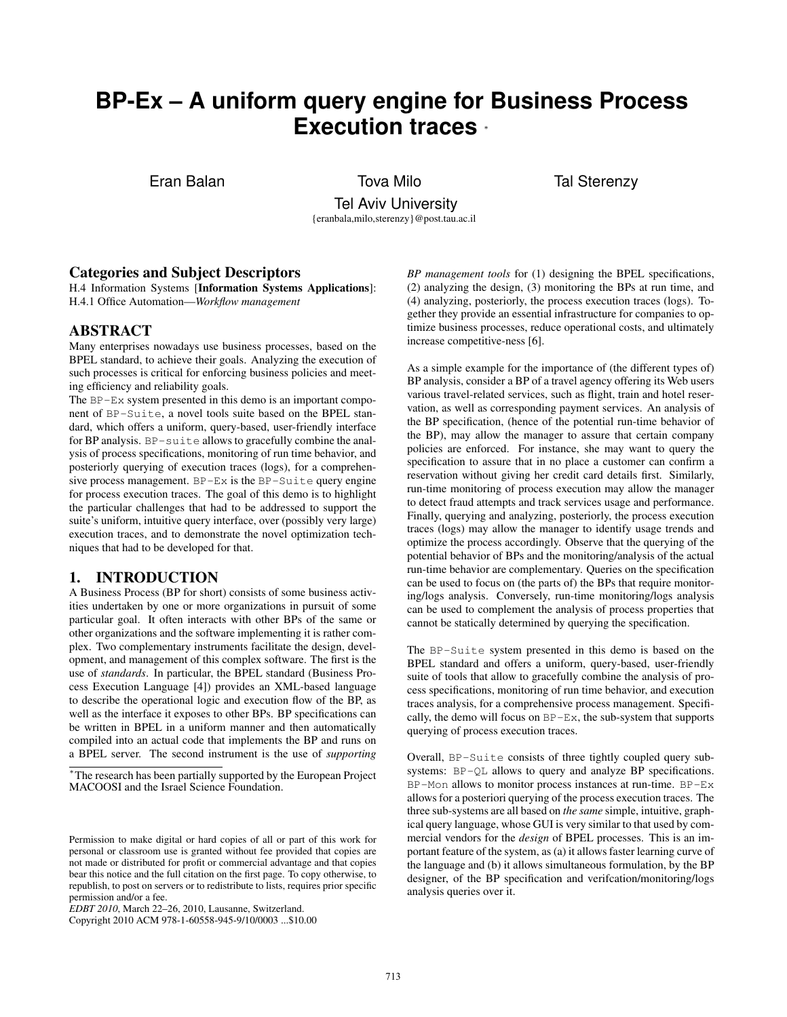# **BP-Ex – A uniform query engine for Business Process Execution traces** <sup>∗</sup>

Eran Balan Tova Milo Tal Sterenzy

Tel Aviv University {eranbala,milo,sterenzy}@post.tau.ac.il

## Categories and Subject Descriptors

H.4 Information Systems [Information Systems Applications]: H.4.1 Office Automation—*Workflow management*

#### ABSTRACT

Many enterprises nowadays use business processes, based on the BPEL standard, to achieve their goals. Analyzing the execution of such processes is critical for enforcing business policies and meeting efficiency and reliability goals.

The BP-Ex system presented in this demo is an important component of BP-Suite, a novel tools suite based on the BPEL standard, which offers a uniform, query-based, user-friendly interface for BP analysis. BP-suite allows to gracefully combine the analysis of process specifications, monitoring of run time behavior, and posteriorly querying of execution traces (logs), for a comprehensive process management. BP-Ex is the BP-Suite query engine for process execution traces. The goal of this demo is to highlight the particular challenges that had to be addressed to support the suite's uniform, intuitive query interface, over (possibly very large) execution traces, and to demonstrate the novel optimization techniques that had to be developed for that.

#### 1. INTRODUCTION

A Business Process (BP for short) consists of some business activities undertaken by one or more organizations in pursuit of some particular goal. It often interacts with other BPs of the same or other organizations and the software implementing it is rather complex. Two complementary instruments facilitate the design, development, and management of this complex software. The first is the use of *standards*. In particular, the BPEL standard (Business Process Execution Language [4]) provides an XML-based language to describe the operational logic and execution flow of the BP, as well as the interface it exposes to other BPs. BP specifications can be written in BPEL in a uniform manner and then automatically compiled into an actual code that implements the BP and runs on a BPEL server. The second instrument is the use of *supporting*

*BP management tools* for (1) designing the BPEL specifications, (2) analyzing the design, (3) monitoring the BPs at run time, and (4) analyzing, posteriorly, the process execution traces (logs). Together they provide an essential infrastructure for companies to optimize business processes, reduce operational costs, and ultimately increase competitive-ness [6].

As a simple example for the importance of (the different types of) BP analysis, consider a BP of a travel agency offering its Web users various travel-related services, such as flight, train and hotel reservation, as well as corresponding payment services. An analysis of the BP specification, (hence of the potential run-time behavior of the BP), may allow the manager to assure that certain company policies are enforced. For instance, she may want to query the specification to assure that in no place a customer can confirm a reservation without giving her credit card details first. Similarly, run-time monitoring of process execution may allow the manager to detect fraud attempts and track services usage and performance. Finally, querying and analyzing, posteriorly, the process execution traces (logs) may allow the manager to identify usage trends and optimize the process accordingly. Observe that the querying of the potential behavior of BPs and the monitoring/analysis of the actual run-time behavior are complementary. Queries on the specification can be used to focus on (the parts of) the BPs that require monitoring/logs analysis. Conversely, run-time monitoring/logs analysis can be used to complement the analysis of process properties that cannot be statically determined by querying the specification.

The BP-Suite system presented in this demo is based on the BPEL standard and offers a uniform, query-based, user-friendly suite of tools that allow to gracefully combine the analysis of process specifications, monitoring of run time behavior, and execution traces analysis, for a comprehensive process management. Specifically, the demo will focus on  $BP-Ex$ , the sub-system that supports querying of process execution traces.

Overall, BP-Suite consists of three tightly coupled query subsystems: BP-QL allows to query and analyze BP specifications. BP-Mon allows to monitor process instances at run-time. BP-Ex allows for a posteriori querying of the process execution traces. The three sub-systems are all based on *the same* simple, intuitive, graphical query language, whose GUI is very similar to that used by commercial vendors for the *design* of BPEL processes. This is an important feature of the system, as (a) it allows faster learning curve of the language and (b) it allows simultaneous formulation, by the BP designer, of the BP specification and verifcation/monitoring/logs analysis queries over it.

<sup>∗</sup>The research has been partially supported by the European Project MACOOSI and the Israel Science Foundation.

Permission to make digital or hard copies of all or part of this work for personal or classroom use is granted without fee provided that copies are not made or distributed for profit or commercial advantage and that copies bear this notice and the full citation on the first page. To copy otherwise, to republish, to post on servers or to redistribute to lists, requires prior specific permission and/or a fee.

*EDBT 2010*, March 22–26, 2010, Lausanne, Switzerland.

Copyright 2010 ACM 978-1-60558-945-9/10/0003 ...\$10.00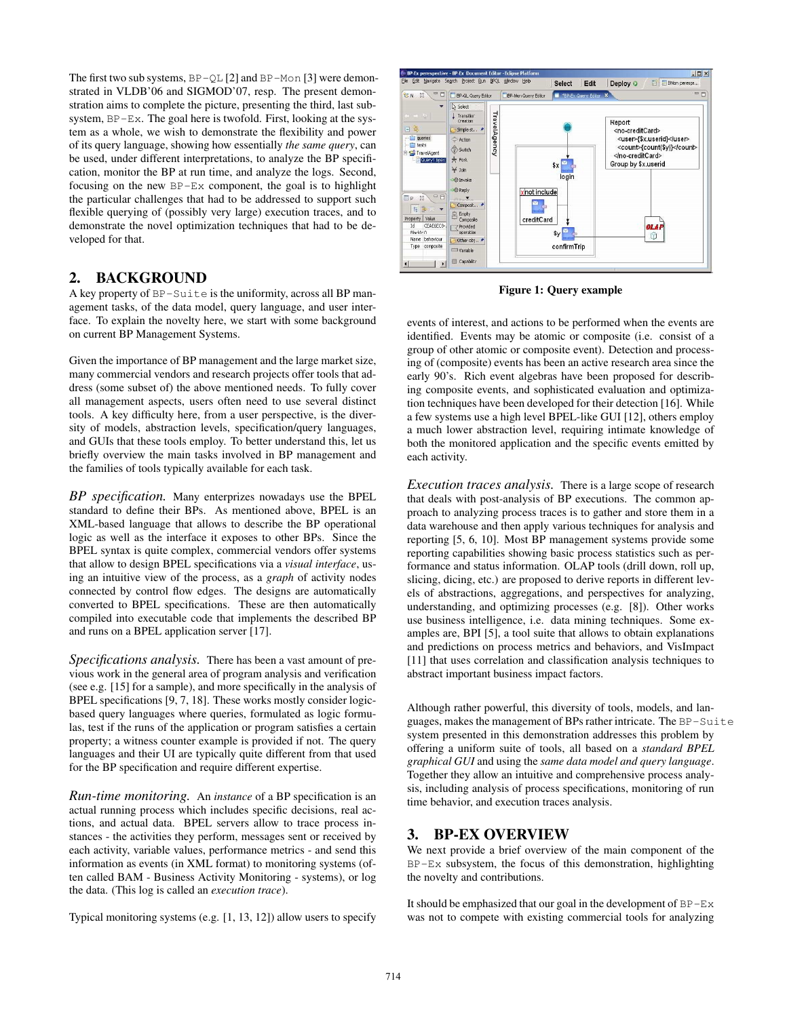The first two sub systems,  $BP-QL$  [2] and  $BP-Mon$  [3] were demonstrated in VLDB'06 and SIGMOD'07, resp. The present demonstration aims to complete the picture, presenting the third, last subsystem, BP-Ex. The goal here is twofold. First, looking at the system as a whole, we wish to demonstrate the flexibility and power of its query language, showing how essentially *the same query*, can be used, under different interpretations, to analyze the BP specification, monitor the BP at run time, and analyze the logs. Second, focusing on the new BP-Ex component, the goal is to highlight the particular challenges that had to be addressed to support such flexible querying of (possibly very large) execution traces, and to demonstrate the novel optimization techniques that had to be developed for that.

## 2. BACKGROUND

A key property of BP-Suite is the uniformity, across all BP management tasks, of the data model, query language, and user interface. To explain the novelty here, we start with some background on current BP Management Systems.

Given the importance of BP management and the large market size, many commercial vendors and research projects offer tools that address (some subset of) the above mentioned needs. To fully cover all management aspects, users often need to use several distinct tools. A key difficulty here, from a user perspective, is the diversity of models, abstraction levels, specification/query languages, and GUIs that these tools employ. To better understand this, let us briefly overview the main tasks involved in BP management and the families of tools typically available for each task.

*BP specification.* Many enterprizes nowadays use the BPEL standard to define their BPs. As mentioned above, BPEL is an XML-based language that allows to describe the BP operational logic as well as the interface it exposes to other BPs. Since the BPEL syntax is quite complex, commercial vendors offer systems that allow to design BPEL specifications via a *visual interface*, using an intuitive view of the process, as a *graph* of activity nodes connected by control flow edges. The designs are automatically converted to BPEL specifications. These are then automatically compiled into executable code that implements the described BP and runs on a BPEL application server [17].

*Specifications analysis.* There has been a vast amount of previous work in the general area of program analysis and verification (see e.g. [15] for a sample), and more specifically in the analysis of BPEL specifications [9, 7, 18]. These works mostly consider logicbased query languages where queries, formulated as logic formulas, test if the runs of the application or program satisfies a certain property; a witness counter example is provided if not. The query languages and their UI are typically quite different from that used for the BP specification and require different expertise.

*Run-time monitoring.* An *instance* of a BP specification is an actual running process which includes specific decisions, real actions, and actual data. BPEL servers allow to trace process instances - the activities they perform, messages sent or received by each activity, variable values, performance metrics - and send this information as events (in XML format) to monitoring systems (often called BAM - Business Activity Monitoring - systems), or log the data. (This log is called an *execution trace*).

Typical monitoring systems (e.g. [1, 13, 12]) allow users to specify



Figure 1: Query example

events of interest, and actions to be performed when the events are identified. Events may be atomic or composite (i.e. consist of a group of other atomic or composite event). Detection and processing of (composite) events has been an active research area since the early 90's. Rich event algebras have been proposed for describing composite events, and sophisticated evaluation and optimization techniques have been developed for their detection [16]. While a few systems use a high level BPEL-like GUI [12], others employ a much lower abstraction level, requiring intimate knowledge of both the monitored application and the specific events emitted by each activity.

*Execution traces analysis.* There is a large scope of research that deals with post-analysis of BP executions. The common approach to analyzing process traces is to gather and store them in a data warehouse and then apply various techniques for analysis and reporting [5, 6, 10]. Most BP management systems provide some reporting capabilities showing basic process statistics such as performance and status information. OLAP tools (drill down, roll up, slicing, dicing, etc.) are proposed to derive reports in different levels of abstractions, aggregations, and perspectives for analyzing, understanding, and optimizing processes (e.g. [8]). Other works use business intelligence, i.e. data mining techniques. Some examples are, BPI [5], a tool suite that allows to obtain explanations and predictions on process metrics and behaviors, and VisImpact [11] that uses correlation and classification analysis techniques to abstract important business impact factors.

Although rather powerful, this diversity of tools, models, and languages, makes the management of BPs rather intricate. The BP-Suite system presented in this demonstration addresses this problem by offering a uniform suite of tools, all based on a *standard BPEL graphical GUI* and using the *same data model and query language*. Together they allow an intuitive and comprehensive process analysis, including analysis of process specifications, monitoring of run time behavior, and execution traces analysis.

## 3. BP-EX OVERVIEW

We next provide a brief overview of the main component of the  $BP-Ex$  subsystem, the focus of this demonstration, highlighting the novelty and contributions.

It should be emphasized that our goal in the development of  $BP-Ex$ was not to compete with existing commercial tools for analyzing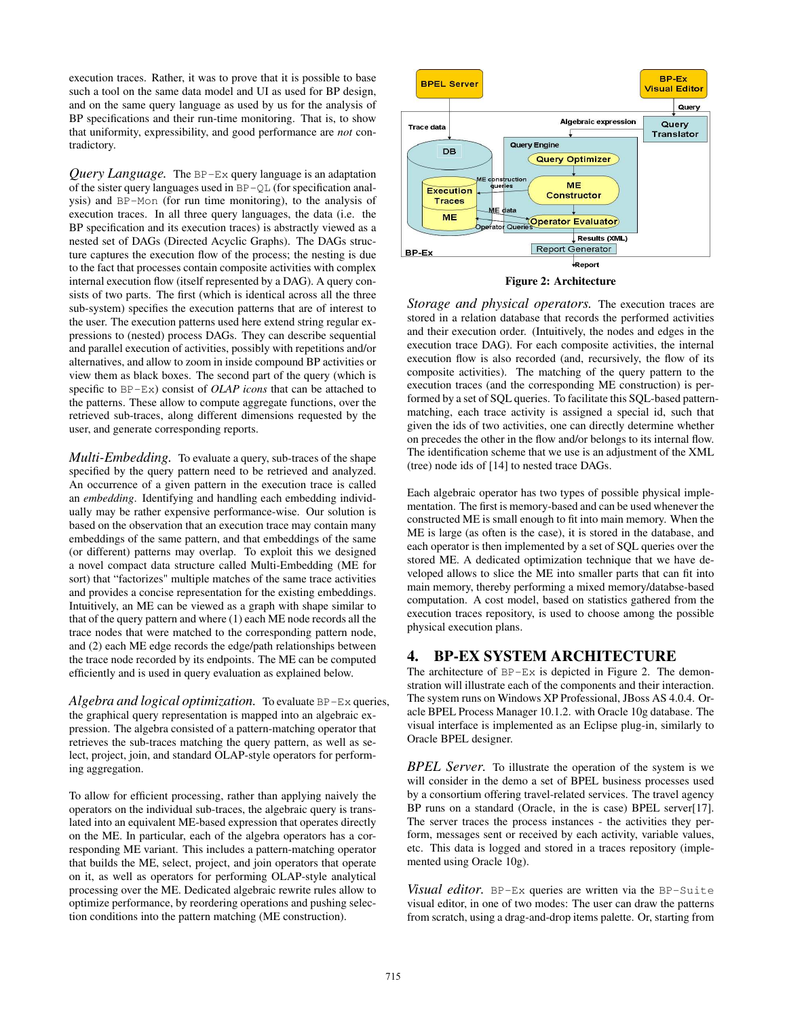execution traces. Rather, it was to prove that it is possible to base such a tool on the same data model and UI as used for BP design, and on the same query language as used by us for the analysis of BP specifications and their run-time monitoring. That is, to show that uniformity, expressibility, and good performance are *not* contradictory.

*Query Language.* The BP-Ex query language is an adaptation of the sister query languages used in BP-QL (for specification analysis) and BP-Mon (for run time monitoring), to the analysis of execution traces. In all three query languages, the data (i.e. the BP specification and its execution traces) is abstractly viewed as a nested set of DAGs (Directed Acyclic Graphs). The DAGs structure captures the execution flow of the process; the nesting is due to the fact that processes contain composite activities with complex internal execution flow (itself represented by a DAG). A query consists of two parts. The first (which is identical across all the three sub-system) specifies the execution patterns that are of interest to the user. The execution patterns used here extend string regular expressions to (nested) process DAGs. They can describe sequential and parallel execution of activities, possibly with repetitions and/or alternatives, and allow to zoom in inside compound BP activities or view them as black boxes. The second part of the query (which is specific to BP-Ex) consist of *OLAP icons* that can be attached to the patterns. These allow to compute aggregate functions, over the retrieved sub-traces, along different dimensions requested by the user, and generate corresponding reports.

*Multi-Embedding.* To evaluate a query, sub-traces of the shape specified by the query pattern need to be retrieved and analyzed. An occurrence of a given pattern in the execution trace is called an *embedding*. Identifying and handling each embedding individually may be rather expensive performance-wise. Our solution is based on the observation that an execution trace may contain many embeddings of the same pattern, and that embeddings of the same (or different) patterns may overlap. To exploit this we designed a novel compact data structure called Multi-Embedding (ME for sort) that "factorizes" multiple matches of the same trace activities and provides a concise representation for the existing embeddings. Intuitively, an ME can be viewed as a graph with shape similar to that of the query pattern and where (1) each ME node records all the trace nodes that were matched to the corresponding pattern node, and (2) each ME edge records the edge/path relationships between the trace node recorded by its endpoints. The ME can be computed efficiently and is used in query evaluation as explained below.

*Algebra and logical optimization.* To evaluate BP-Ex queries, the graphical query representation is mapped into an algebraic expression. The algebra consisted of a pattern-matching operator that retrieves the sub-traces matching the query pattern, as well as select, project, join, and standard OLAP-style operators for performing aggregation.

To allow for efficient processing, rather than applying naively the operators on the individual sub-traces, the algebraic query is translated into an equivalent ME-based expression that operates directly on the ME. In particular, each of the algebra operators has a corresponding ME variant. This includes a pattern-matching operator that builds the ME, select, project, and join operators that operate on it, as well as operators for performing OLAP-style analytical processing over the ME. Dedicated algebraic rewrite rules allow to optimize performance, by reordering operations and pushing selection conditions into the pattern matching (ME construction).





*Storage and physical operators.* The execution traces are stored in a relation database that records the performed activities and their execution order. (Intuitively, the nodes and edges in the execution trace DAG). For each composite activities, the internal execution flow is also recorded (and, recursively, the flow of its composite activities). The matching of the query pattern to the execution traces (and the corresponding ME construction) is performed by a set of SQL queries. To facilitate this SQL-based patternmatching, each trace activity is assigned a special id, such that given the ids of two activities, one can directly determine whether on precedes the other in the flow and/or belongs to its internal flow. The identification scheme that we use is an adjustment of the XML (tree) node ids of [14] to nested trace DAGs.

Each algebraic operator has two types of possible physical implementation. The first is memory-based and can be used whenever the constructed ME is small enough to fit into main memory. When the ME is large (as often is the case), it is stored in the database, and each operator is then implemented by a set of SQL queries over the stored ME. A dedicated optimization technique that we have developed allows to slice the ME into smaller parts that can fit into main memory, thereby performing a mixed memory/databse-based computation. A cost model, based on statistics gathered from the execution traces repository, is used to choose among the possible physical execution plans.

# 4. BP-EX SYSTEM ARCHITECTURE

The architecture of BP-Ex is depicted in Figure 2. The demonstration will illustrate each of the components and their interaction. The system runs on Windows XP Professional, JBoss AS 4.0.4. Oracle BPEL Process Manager 10.1.2. with Oracle 10g database. The visual interface is implemented as an Eclipse plug-in, similarly to Oracle BPEL designer.

*BPEL Server.* To illustrate the operation of the system is we will consider in the demo a set of BPEL business processes used by a consortium offering travel-related services. The travel agency BP runs on a standard (Oracle, in the is case) BPEL server[17]. The server traces the process instances - the activities they perform, messages sent or received by each activity, variable values, etc. This data is logged and stored in a traces repository (implemented using Oracle 10g).

*Visual editor.* BP-Ex queries are written via the BP-Suite visual editor, in one of two modes: The user can draw the patterns from scratch, using a drag-and-drop items palette. Or, starting from